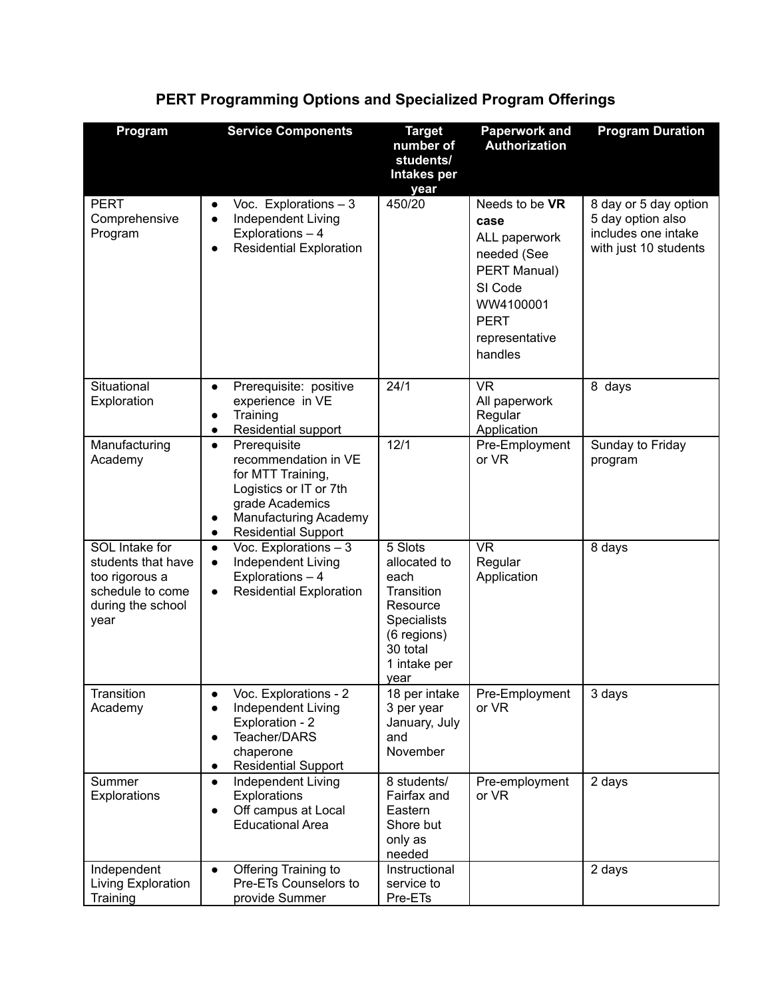| Program                                                                                                        | <b>Service Components</b>                                                                                                                                                                            | <b>Target</b><br>number of<br>students/<br><b>Intakes per</b><br>year                                                              | <b>Paperwork and</b><br><b>Authorization</b>                                                                                               | <b>Program Duration</b>                                                                    |
|----------------------------------------------------------------------------------------------------------------|------------------------------------------------------------------------------------------------------------------------------------------------------------------------------------------------------|------------------------------------------------------------------------------------------------------------------------------------|--------------------------------------------------------------------------------------------------------------------------------------------|--------------------------------------------------------------------------------------------|
| <b>PERT</b><br>Comprehensive<br>Program                                                                        | Voc. Explorations $-3$<br>$\bullet$<br>Independent Living<br>$\bullet$<br>Explorations - 4<br><b>Residential Exploration</b><br>$\bullet$                                                            | 450/20                                                                                                                             | Needs to be VR<br>case<br>ALL paperwork<br>needed (See<br>PERT Manual)<br>SI Code<br>WW4100001<br><b>PERT</b><br>representative<br>handles | 8 day or 5 day option<br>5 day option also<br>includes one intake<br>with just 10 students |
| Situational<br>Exploration                                                                                     | Prerequisite: positive<br>$\bullet$<br>experience in VE<br>Training<br>$\bullet$<br>Residential support<br>$\bullet$                                                                                 | 24/1                                                                                                                               | <b>VR</b><br>All paperwork<br>Regular<br>Application                                                                                       | 8 days                                                                                     |
| Manufacturing<br>Academy                                                                                       | Prerequisite<br>$\bullet$<br>recommendation in VE<br>for MTT Training,<br>Logistics or IT or 7th<br>grade Academics<br>Manufacturing Academy<br>$\bullet$<br><b>Residential Support</b><br>$\bullet$ | 12/1                                                                                                                               | Pre-Employment<br>or VR                                                                                                                    | Sunday to Friday<br>program                                                                |
| <b>SOL</b> Intake for<br>students that have<br>too rigorous a<br>schedule to come<br>during the school<br>year | Voc. Explorations $-3$<br>$\bullet$<br>Independent Living<br>$\bullet$<br>Explorations - 4<br><b>Residential Exploration</b><br>$\bullet$                                                            | 5 Slots<br>allocated to<br>each<br>Transition<br>Resource<br><b>Specialists</b><br>(6 regions)<br>30 total<br>1 intake per<br>year | <b>VR</b><br>Regular<br>Application                                                                                                        | 8 days                                                                                     |
| Transition<br>Academy                                                                                          | Voc. Explorations - 2<br>$\bullet$<br>Independent Living<br>$\bullet$<br>Exploration - 2<br>Teacher/DARS<br>$\bullet$<br>chaperone<br><b>Residential Support</b><br>$\bullet$                        | 18 per intake<br>3 per year<br>January, July<br>and<br>November                                                                    | Pre-Employment<br>or VR                                                                                                                    | 3 days                                                                                     |
| Summer<br>Explorations                                                                                         | Independent Living<br>$\bullet$<br>Explorations<br>Off campus at Local<br>$\bullet$<br><b>Educational Area</b>                                                                                       | 8 students/<br>Fairfax and<br>Eastern<br>Shore but<br>only as<br>needed                                                            | Pre-employment<br>or VR                                                                                                                    | 2 days                                                                                     |
| Independent<br>Living Exploration<br>Training                                                                  | Offering Training to<br>$\bullet$<br>Pre-ETs Counselors to<br>provide Summer                                                                                                                         | Instructional<br>service to<br>Pre-ETs                                                                                             |                                                                                                                                            | 2 days                                                                                     |

## **PERT Programming Options and Specialized Program Offerings**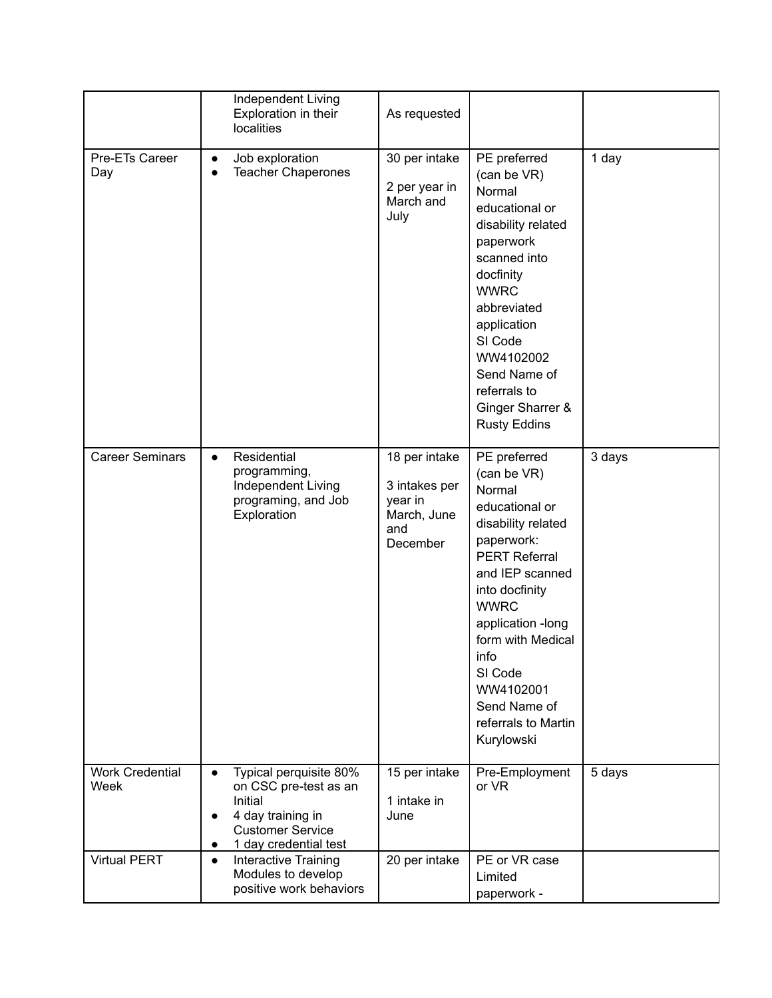|                                | Independent Living<br>Exploration in their<br><b>localities</b>                                                                                                            | As requested                                                                |                                                                                                                                                                                                                                                                                                        |        |
|--------------------------------|----------------------------------------------------------------------------------------------------------------------------------------------------------------------------|-----------------------------------------------------------------------------|--------------------------------------------------------------------------------------------------------------------------------------------------------------------------------------------------------------------------------------------------------------------------------------------------------|--------|
| Pre-ETs Career<br>Day          | Job exploration<br>$\bullet$<br><b>Teacher Chaperones</b><br>$\bullet$                                                                                                     | 30 per intake<br>2 per year in<br>March and<br>July                         | PE preferred<br>(can be VR)<br>Normal<br>educational or<br>disability related<br>paperwork<br>scanned into<br>docfinity<br><b>WWRC</b><br>abbreviated<br>application<br>SI Code<br>WW4102002<br>Send Name of<br>referrals to<br>Ginger Sharrer &<br><b>Rusty Eddins</b>                                | 1 day  |
| <b>Career Seminars</b>         | Residential<br>$\bullet$<br>programming,<br>Independent Living<br>programing, and Job<br>Exploration                                                                       | 18 per intake<br>3 intakes per<br>year in<br>March, June<br>and<br>December | PE preferred<br>(can be VR)<br>Normal<br>educational or<br>disability related<br>paperwork:<br><b>PERT Referral</b><br>and IEP scanned<br>into docfinity<br><b>WWRC</b><br>application -long<br>form with Medical<br>info<br>SI Code<br>WW4102001<br>Send Name of<br>referrals to Martin<br>Kurylowski | 3 days |
| <b>Work Credential</b><br>Week | Typical perquisite 80%<br>$\bullet$<br>on CSC pre-test as an<br>Initial<br>4 day training in<br>$\bullet$<br><b>Customer Service</b><br>1 day credential test<br>$\bullet$ | 15 per intake<br>1 intake in<br>June                                        | Pre-Employment<br>or VR                                                                                                                                                                                                                                                                                | 5 days |
| <b>Virtual PERT</b>            | Interactive Training<br>$\bullet$<br>Modules to develop<br>positive work behaviors                                                                                         | 20 per intake                                                               | PE or VR case<br>Limited<br>paperwork -                                                                                                                                                                                                                                                                |        |